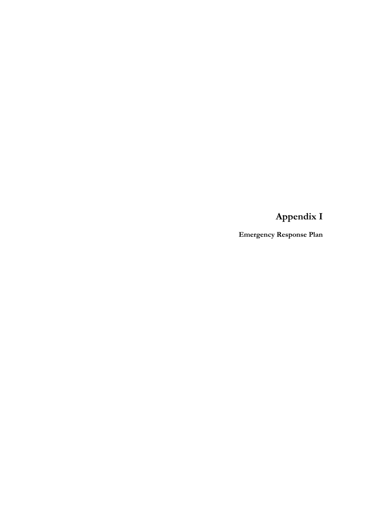**Appendix I**

**Emergency Response Plan**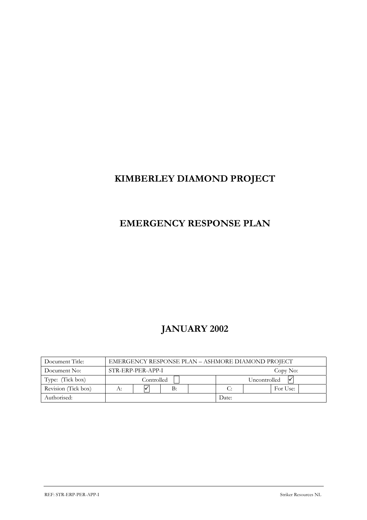# **KIMBERLEY DIAMOND PROJECT**

# **EMERGENCY RESPONSE PLAN**

# **JANUARY 2002**

| Document Title:     |                            | EMERGENCY RESPONSE PLAN – ASHMORE DIAMOND PROJECT |  |  |  |              |  |  |  |  |  |  |
|---------------------|----------------------------|---------------------------------------------------|--|--|--|--------------|--|--|--|--|--|--|
| Document No:        |                            | STR-ERP-PER-APP-I<br>Copy No:                     |  |  |  |              |  |  |  |  |  |  |
| Type: (Tick box)    |                            | Controlled                                        |  |  |  | Uncontrolled |  |  |  |  |  |  |
| Revision (Tick box) | B:<br>For Use:<br>C:<br>А: |                                                   |  |  |  |              |  |  |  |  |  |  |
| Authorised:         |                            | Date:                                             |  |  |  |              |  |  |  |  |  |  |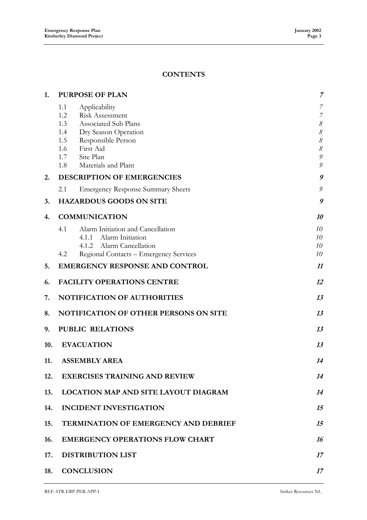# **CONTENTS**

| 1.  | <b>PURPOSE OF PLAN</b>                                                                                                                                        | 7                                                                                   |
|-----|---------------------------------------------------------------------------------------------------------------------------------------------------------------|-------------------------------------------------------------------------------------|
|     | 1.1<br>Applicability<br>Risk Assessment<br>1.2<br>Associated Sub Plans<br>1.3<br>Dry Season Operation<br>1.4<br>1.5<br>Responsible Person<br>First Aid<br>1.6 | 7<br>$\overline{7}$<br>$\mathcal S$<br>$\mathcal S$<br>$\mathcal S$<br>$\mathcal S$ |
|     | 1.7<br>Site Plan<br>Materials and Plant<br>1.8                                                                                                                | 9<br>9                                                                              |
| 2.  | DESCRIPTION OF EMERGENCIES                                                                                                                                    | 9                                                                                   |
|     | 2.1<br><b>Emergency Response Summary Sheets</b>                                                                                                               | 9                                                                                   |
| 3.  | <b>HAZARDOUS GOODS ON SITE</b>                                                                                                                                | 9                                                                                   |
| 4.  | <b>COMMUNICATION</b>                                                                                                                                          | 10                                                                                  |
|     | 4.1<br>Alarm Initiation and Cancellation<br>4.1.1 Alarm Initiation<br>4.1.2 Alarm Cancellation<br>Regional Contacts - Emergency Services<br>4.2               | 10<br>10<br>10<br>10                                                                |
| 5.  | <b>EMERGENCY RESPONSE AND CONTROL</b>                                                                                                                         | 11                                                                                  |
| 6.  | <b>FACILITY OPERATIONS CENTRE</b>                                                                                                                             | 12                                                                                  |
| 7.  | <b>NOTIFICATION OF AUTHORITIES</b>                                                                                                                            | 13                                                                                  |
| 8.  | <b>NOTIFICATION OF OTHER PERSONS ON SITE</b>                                                                                                                  | 13                                                                                  |
| 9.  | <b>PUBLIC RELATIONS</b>                                                                                                                                       | 13                                                                                  |
| 10. | <b>EVACUATION</b>                                                                                                                                             | 13                                                                                  |
| 11. | <b>ASSEMBLY AREA</b>                                                                                                                                          | 14                                                                                  |
| 12. | <b>EXERCISES TRAINING AND REVIEW</b>                                                                                                                          | 14                                                                                  |
| 13. | <b>LOCATION MAP AND SITE LAYOUT DIAGRAM</b>                                                                                                                   | 14                                                                                  |
| 14. | <b>INCIDENT INVESTIGATION</b>                                                                                                                                 | 15                                                                                  |
| 15. | <b>TERMINATION OF EMERGENCY AND DEBRIEF</b>                                                                                                                   | 15                                                                                  |
| 16. | <b>EMERGENCY OPERATIONS FLOW CHART</b>                                                                                                                        | 16                                                                                  |
| 17. | <b>DISTRIBUTION LIST</b>                                                                                                                                      | 17                                                                                  |
| 18. | <b>CONCLUSION</b>                                                                                                                                             | 17                                                                                  |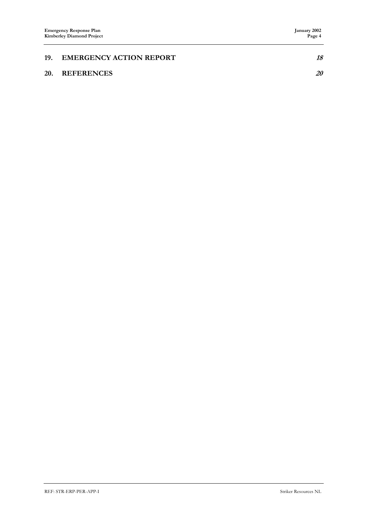| 19. EMERGENCY ACTION REPORT |    |
|-----------------------------|----|
| 20. REFERENCES              | 20 |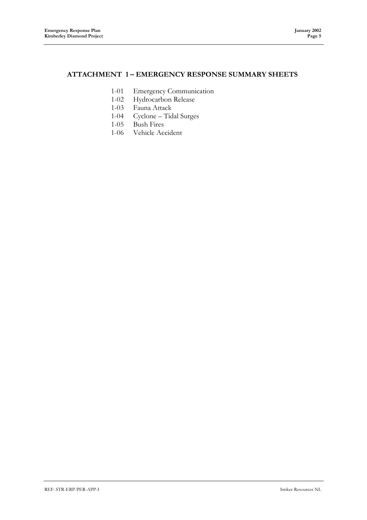## **ATTACHMENT 1 – EMERGENCY RESPONSE SUMMARY SHEETS**

- 1-01 Emergency Communication
- 1-02 Hydrocarbon Release
- 1-03 Fauna Attack
- 1-04 Cyclone Tidal Surges
- 1-05 Bush Fires
- 1-06 Vehicle Accident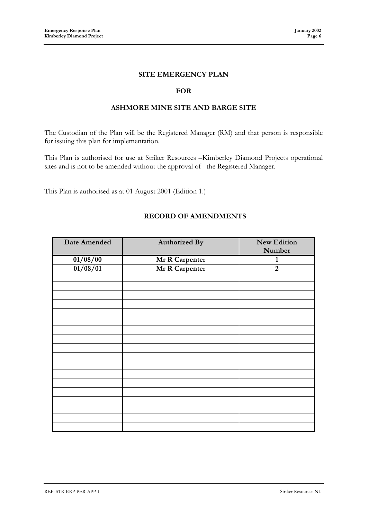## **SITE EMERGENCY PLAN**

### **FOR**

## **ASHMORE MINE SITE AND BARGE SITE**

The Custodian of the Plan will be the Registered Manager (RM) and that person is responsible for issuing this plan for implementation.

This Plan is authorised for use at Striker Resources –Kimberley Diamond Projects operational sites and is not to be amended without the approval of the Registered Manager.

This Plan is authorised as at 01 August 2001 (Edition 1.)

| Date Amended | <b>Authorized By</b> | New Edition    |
|--------------|----------------------|----------------|
|              |                      | Number         |
| 01/08/00     | Mr R Carpenter       | $\mathbf{1}$   |
| 01/08/01     | Mr R Carpenter       | $\overline{2}$ |
|              |                      |                |
|              |                      |                |
|              |                      |                |
|              |                      |                |
|              |                      |                |
|              |                      |                |
|              |                      |                |
|              |                      |                |
|              |                      |                |
|              |                      |                |
|              |                      |                |
|              |                      |                |
|              |                      |                |
|              |                      |                |
|              |                      |                |
|              |                      |                |
|              |                      |                |
|              |                      |                |

## **RECORD OF AMENDMENTS**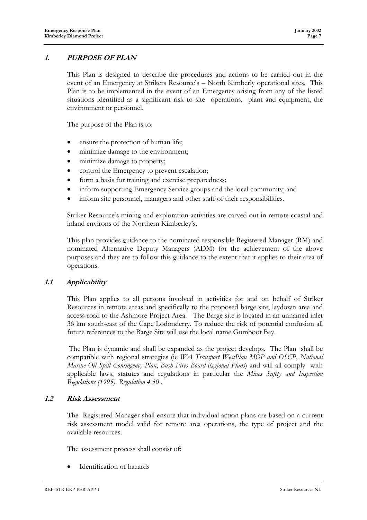## **1. PURPOSE OF PLAN**

This Plan is designed to describe the procedures and actions to be carried out in the event of an Emergency at Strikers Resource's – North Kimberly operational sites. This Plan is to be implemented in the event of an Emergency arising from any of the listed situations identified as a significant risk to site operations, plant and equipment, the environment or personnel.

The purpose of the Plan is to:

- ensure the protection of human life;
- minimize damage to the environment;
- minimize damage to property;
- control the Emergency to prevent escalation;
- form a basis for training and exercise preparedness;
- inform supporting Emergency Service groups and the local community; and
- inform site personnel, managers and other staff of their responsibilities.

Striker Resource's mining and exploration activities are carved out in remote coastal and inland environs of the Northern Kimberley's.

This plan provides guidance to the nominated responsible Registered Manager (RM) and nominated Alternative Deputy Managers (ADM) for the achievement of the above purposes and they are to follow this guidance to the extent that it applies to their area of operations.

## **1.1 Applicability**

This Plan applies to all persons involved in activities for and on behalf of Striker Resources in remote areas and specifically to the proposed barge site, laydown area and access road to the Ashmore Project Area. The Barge site is located in an unnamed inlet 36 km south-east of the Cape Lodonderry. To reduce the risk of potential confusion all future references to the Barge Site will use the local name Gumboot Bay.

 The Plan is dynamic and shall be expanded as the project develops. The Plan shall be compatible with regional strategies (ie *WA Transport WestPlan MOP and OSCP*, *National Marine Oil Spill Contingency Plan*, *Bush Fires Board-Regional Plans*) and will all comply with applicable laws, statutes and regulations in particular the *Mines Safety and Inspection Regulations (1995), Regulation 4.30* .

#### **1.2 Risk Assessment**

The Registered Manager shall ensure that individual action plans are based on a current risk assessment model valid for remote area operations, the type of project and the available resources.

The assessment process shall consist of:

• Identification of hazards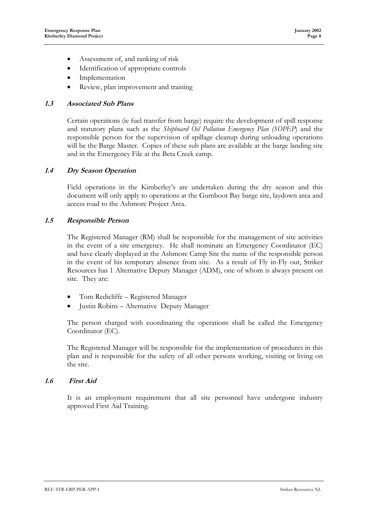- Assessment of, and ranking of risk
- Identification of appropriate controls
- **Implementation**
- Review, plan improvement and training

## **1.3 Associated Sub Plans**

Certain operations (ie fuel transfer from barge) require the development of spill response and statutory plans such as the *Shipboard Oil Pollution Emergency Plan (SOPEP*) and the responsible person for the supervision of spillage cleanup during unloading operations will be the Barge Master. Copies of these sub plans are available at the barge landing site and in the Emergency File at the Beta Creek camp.

## **1.4 Dry Season Operation**

Field operations in the Kimberley's are undertaken during the dry season and this document will only apply to operations at the Gumboot Bay barge site, laydown area and access road to the Ashmore Project Area.

## **1.5 Responsible Person**

The Registered Manager (RM) shall be responsible for the management of site activities in the event of a site emergency. He shall nominate an Emergency Coordinator (EC) and have clearly displayed at the Ashmore Camp Site the name of the responsible person in the event of his temporary absence from site. As a result of Fly in-Fly out, Striker Resources has 1 Alternative Deputy Manager (ADM), one of whom is always present on site. They are:

- Tom Redicliffe Registered Manager
- Justin Robins Alternative Deputy Manager

The person charged with coordinating the operations shall be called the Emergency Coordinator (EC).

The Registered Manager will be responsible for the implementation of procedures in this plan and is responsible for the safety of all other persons working, visiting or living on the site.

## **1.6 First Aid**

It is an employment requirement that all site personnel have undergone industry approved First Aid Training.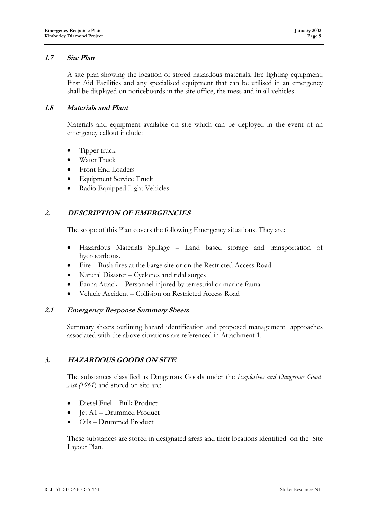## **1.7 Site Plan**

A site plan showing the location of stored hazardous materials, fire fighting equipment, First Aid Facilities and any specialised equipment that can be utilised in an emergency shall be displayed on noticeboards in the site office, the mess and in all vehicles.

#### **1.8 Materials and Plant**

Materials and equipment available on site which can be deployed in the event of an emergency callout include:

- Tipper truck
- Water Truck
- Front End Loaders
- Equipment Service Truck
- Radio Equipped Light Vehicles

## **2. DESCRIPTION OF EMERGENCIES**

The scope of this Plan covers the following Emergency situations. They are:

- Hazardous Materials Spillage Land based storage and transportation of hydrocarbons.
- Fire Bush fires at the barge site or on the Restricted Access Road.
- Natural Disaster Cyclones and tidal surges
- Fauna Attack Personnel injured by terrestrial or marine fauna
- Vehicle Accident Collision on Restricted Access Road

#### **2.1 Emergency Response Summary Sheets**

Summary sheets outlining hazard identification and proposed management approaches associated with the above situations are referenced in Attachment 1.

## **3. HAZARDOUS GOODS ON SITE**

The substances classified as Dangerous Goods under the *Explosives and Dangerous Goods Act (1961)* and stored on site are:

- Diesel Fuel Bulk Product
- Jet A1 Drummed Product
- Oils Drummed Product

These substances are stored in designated areas and their locations identified on the Site Layout Plan.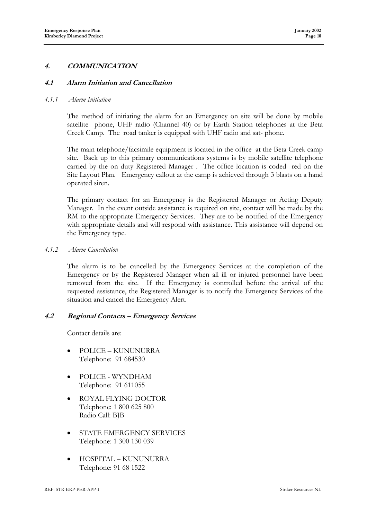## **4. COMMUNICATION**

#### **4.1 Alarm Initiation and Cancellation**

#### *4.1.1 Alarm Initiation*

The method of initiating the alarm for an Emergency on site will be done by mobile satellite phone, UHF radio (Channel 40) or by Earth Station telephones at the Beta Creek Camp. The road tanker is equipped with UHF radio and sat- phone.

The main telephone/facsimile equipment is located in the office at the Beta Creek camp site. Back up to this primary communications systems is by mobile satellite telephone carried by the on duty Registered Manager . The office location is coded red on the Site Layout Plan. Emergency callout at the camp is achieved through 3 blasts on a hand operated siren.

The primary contact for an Emergency is the Registered Manager or Acting Deputy Manager. In the event outside assistance is required on site, contact will be made by the RM to the appropriate Emergency Services. They are to be notified of the Emergency with appropriate details and will respond with assistance. This assistance will depend on the Emergency type.

*4.1.2 Alarm Cancellation*

The alarm is to be cancelled by the Emergency Services at the completion of the Emergency or by the Registered Manager when all ill or injured personnel have been removed from the site. If the Emergency is controlled before the arrival of the requested assistance, the Registered Manager is to notify the Emergency Services of the situation and cancel the Emergency Alert.

#### **4.2 Regional Contacts – Emergency Services**

Contact details are:

- POLICE KUNUNURRA Telephone: 91 684530
- POLICE WYNDHAM Telephone: 91 611055
- ROYAL FLYING DOCTOR Telephone: 1 800 625 800 Radio Call: BJB
- STATE EMERGENCY SERVICES Telephone: 1 300 130 039
- HOSPITAL KUNUNURRA Telephone: 91 68 1522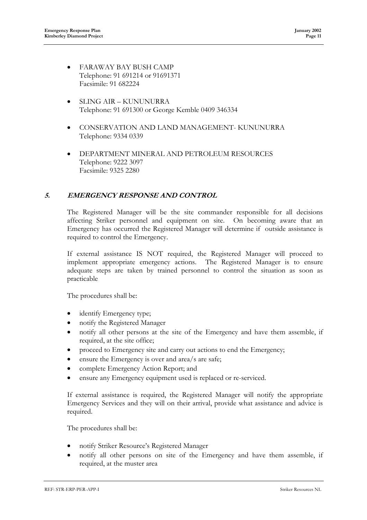- FARAWAY BAY BUSH CAMP Telephone: 91 691214 or 91691371 Facsimile: 91 682224
- SLING AIR KUNUNURRA Telephone: 91 691300 or George Kemble 0409 346334
- CONSERVATION AND LAND MANAGEMENT- KUNUNURRA Telephone: 9334 0339
- DEPARTMENT MINERAL AND PETROLEUM RESOURCES Telephone: 9222 3097 Facsimile: 9325 2280

## **5. EMERGENCY RESPONSE AND CONTROL**

The Registered Manager will be the site commander responsible for all decisions affecting Striker personnel and equipment on site. On becoming aware that an Emergency has occurred the Registered Manager will determine if outside assistance is required to control the Emergency.

If external assistance IS NOT required, the Registered Manager will proceed to implement appropriate emergency actions. The Registered Manager is to ensure adequate steps are taken by trained personnel to control the situation as soon as practicable

The procedures shall be:

- identify Emergency type;
- notify the Registered Manager
- notify all other persons at the site of the Emergency and have them assemble, if required, at the site office;
- proceed to Emergency site and carry out actions to end the Emergency;
- ensure the Emergency is over and area/s are safe;
- complete Emergency Action Report; and
- ensure any Emergency equipment used is replaced or re-serviced.

If external assistance is required, the Registered Manager will notify the appropriate Emergency Services and they will on their arrival, provide what assistance and advice is required.

The procedures shall be:

- notify Striker Resource's Registered Manager
- notify all other persons on site of the Emergency and have them assemble, if required, at the muster area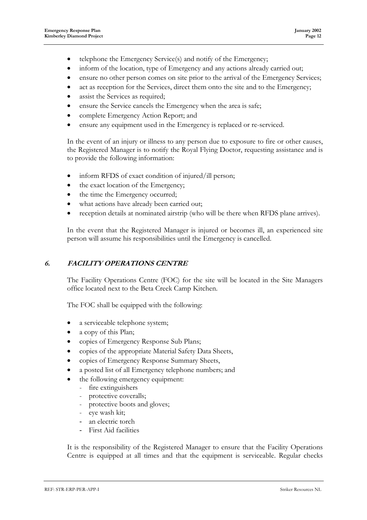- telephone the Emergency Service(s) and notify of the Emergency;
- inform of the location, type of Emergency and any actions already carried out;
- ensure no other person comes on site prior to the arrival of the Emergency Services;
- act as reception for the Services, direct them onto the site and to the Emergency;
- assist the Services as required;
- ensure the Service cancels the Emergency when the area is safe;
- complete Emergency Action Report; and
- ensure any equipment used in the Emergency is replaced or re-serviced.

In the event of an injury or illness to any person due to exposure to fire or other causes, the Registered Manager is to notify the Royal Flying Doctor, requesting assistance and is to provide the following information:

- inform RFDS of exact condition of injured/ill person;
- the exact location of the Emergency;
- the time the Emergency occurred;
- what actions have already been carried out;
- reception details at nominated airstrip (who will be there when RFDS plane arrives).

In the event that the Registered Manager is injured or becomes ill, an experienced site person will assume his responsibilities until the Emergency is cancelled.

## **6. FACILITY OPERATIONS CENTRE**

The Facility Operations Centre (FOC) for the site will be located in the Site Managers office located next to the Beta Creek Camp Kitchen.

The FOC shall be equipped with the following:

- a serviceable telephone system;
- a copy of this Plan;
- copies of Emergency Response Sub Plans;
- copies of the appropriate Material Safety Data Sheets,
- copies of Emergency Response Summary Sheets,
- a posted list of all Emergency telephone numbers; and
- the following emergency equipment:
	- fire extinguishers
	- protective coveralls;
	- protective boots and gloves;
	- eye wash kit;
	- an electric torch
	- First Aid facilities

It is the responsibility of the Registered Manager to ensure that the Facility Operations Centre is equipped at all times and that the equipment is serviceable. Regular checks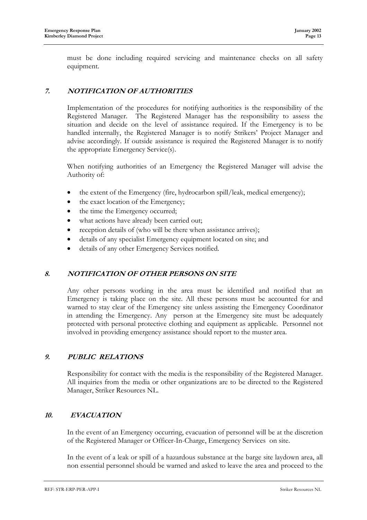must be done including required servicing and maintenance checks on all safety equipment.

## **7. NOTIFICATION OF AUTHORITIES**

Implementation of the procedures for notifying authorities is the responsibility of the Registered Manager. The Registered Manager has the responsibility to assess the situation and decide on the level of assistance required. If the Emergency is to be handled internally, the Registered Manager is to notify Strikers' Project Manager and advise accordingly. If outside assistance is required the Registered Manager is to notify the appropriate Emergency Service(s).

When notifying authorities of an Emergency the Registered Manager will advise the Authority of:

- the extent of the Emergency (fire, hydrocarbon spill/leak, medical emergency);
- the exact location of the Emergency;
- the time the Emergency occurred;
- what actions have already been carried out;
- reception details of (who will be there when assistance arrives);
- details of any specialist Emergency equipment located on site; and
- details of any other Emergency Services notified.

## **8. NOTIFICATION OF OTHER PERSONS ON SITE**

Any other persons working in the area must be identified and notified that an Emergency is taking place on the site. All these persons must be accounted for and warned to stay clear of the Emergency site unless assisting the Emergency Coordinator in attending the Emergency. Any person at the Emergency site must be adequately protected with personal protective clothing and equipment as applicable. Personnel not involved in providing emergency assistance should report to the muster area.

## **9. PUBLIC RELATIONS**

Responsibility for contact with the media is the responsibility of the Registered Manager. All inquiries from the media or other organizations are to be directed to the Registered Manager, Striker Resources NL.

## **10. EVACUATION**

In the event of an Emergency occurring, evacuation of personnel will be at the discretion of the Registered Manager or Officer-In-Charge, Emergency Services on site.

In the event of a leak or spill of a hazardous substance at the barge site laydown area, all non essential personnel should be warned and asked to leave the area and proceed to the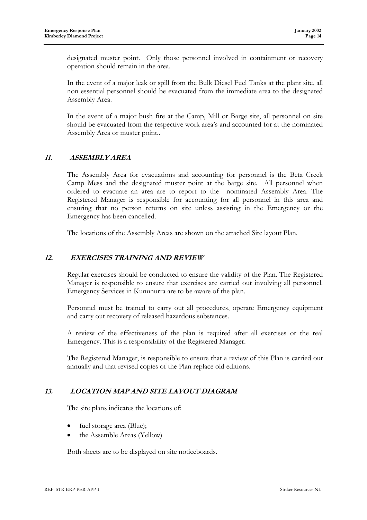designated muster point. Only those personnel involved in containment or recovery operation should remain in the area.

In the event of a major leak or spill from the Bulk Diesel Fuel Tanks at the plant site, all non essential personnel should be evacuated from the immediate area to the designated Assembly Area.

In the event of a major bush fire at the Camp, Mill or Barge site, all personnel on site should be evacuated from the respective work area's and accounted for at the nominated Assembly Area or muster point..

## **11. ASSEMBLY AREA**

The Assembly Area for evacuations and accounting for personnel is the Beta Creek Camp Mess and the designated muster point at the barge site. All personnel when ordered to evacuate an area are to report to the nominated Assembly Area. The Registered Manager is responsible for accounting for all personnel in this area and ensuring that no person returns on site unless assisting in the Emergency or the Emergency has been cancelled.

The locations of the Assembly Areas are shown on the attached Site layout Plan.

## **12. EXERCISES TRAINING AND REVIEW**

Regular exercises should be conducted to ensure the validity of the Plan. The Registered Manager is responsible to ensure that exercises are carried out involving all personnel. Emergency Services in Kununurra are to be aware of the plan.

Personnel must be trained to carry out all procedures, operate Emergency equipment and carry out recovery of released hazardous substances.

A review of the effectiveness of the plan is required after all exercises or the real Emergency. This is a responsibility of the Registered Manager.

The Registered Manager, is responsible to ensure that a review of this Plan is carried out annually and that revised copies of the Plan replace old editions.

## **13. LOCATION MAP AND SITE LAYOUT DIAGRAM**

The site plans indicates the locations of:

- fuel storage area (Blue);
- the Assemble Areas (Yellow)

Both sheets are to be displayed on site noticeboards.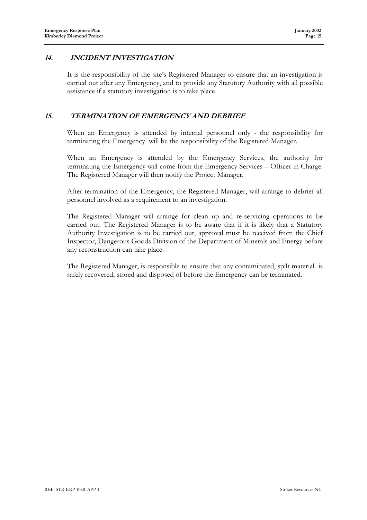## **14. INCIDENT INVESTIGATION**

It is the responsibility of the site's Registered Manager to ensure that an investigation is carried out after any Emergency, and to provide any Statutory Authority with all possible assistance if a statutory investigation is to take place.

## **15. TERMINATION OF EMERGENCY AND DEBRIEF**

When an Emergency is attended by internal personnel only - the responsibility for terminating the Emergency will be the responsibility of the Registered Manager.

When an Emergency is attended by the Emergency Services, the authority for terminating the Emergency will come from the Emergency Services – Officer in Charge. The Registered Manager will then notify the Project Manager.

After termination of the Emergency, the Registered Manager, will arrange to debrief all personnel involved as a requirement to an investigation.

The Registered Manager will arrange for clean up and re-servicing operations to be carried out. The Registered Manager is to be aware that if it is likely that a Statutory Authority Investigation is to be carried out, approval must be received from the Chief Inspector, Dangerous Goods Division of the Department of Minerals and Energy before any reconstruction can take place.

The Registered Manager, is responsible to ensure that any contaminated, spilt material is safely recovered, stored and disposed of before the Emergency can be terminated.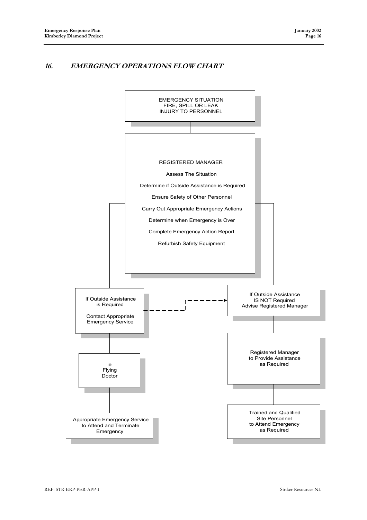## **16. EMERGENCY OPERATIONS FLOW CHART**

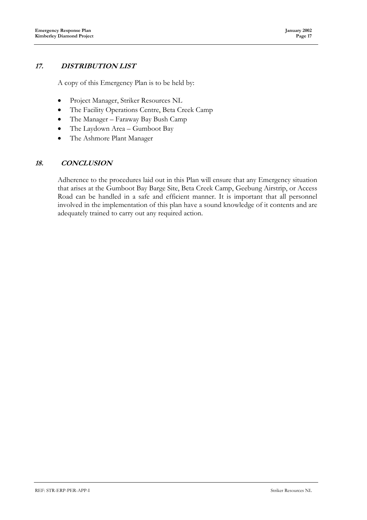## **17. DISTRIBUTION LIST**

A copy of this Emergency Plan is to be held by:

- Project Manager, Striker Resources NL
- The Facility Operations Centre, Beta Creek Camp
- The Manager Faraway Bay Bush Camp
- The Laydown Area Gumboot Bay
- The Ashmore Plant Manager

## **18. CONCLUSION**

Adherence to the procedures laid out in this Plan will ensure that any Emergency situation that arises at the Gumboot Bay Barge Site, Beta Creek Camp, Geebung Airstrip, or Access Road can be handled in a safe and efficient manner. It is important that all personnel involved in the implementation of this plan have a sound knowledge of it contents and are adequately trained to carry out any required action.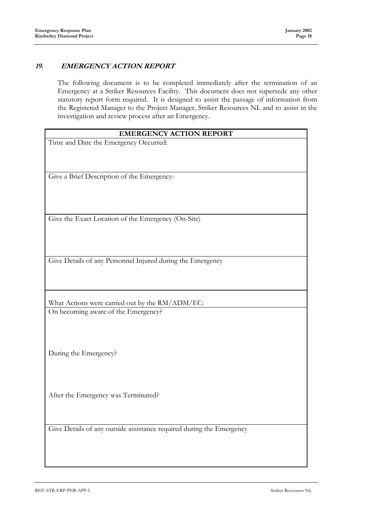## **19. EMERGENCY ACTION REPORT**

The following document is to be completed immediately after the termination of an Emergency at a Striker Resources Facility. This document does not supersede any other statutory report form required. It is designed to assist the passage of information from the Registered Manager to the Project Manager, Striker Resources NL and to assist in the investigation and review process after an Emergency.

| <b>EMERGENCY ACTION REPORT</b>                                       |
|----------------------------------------------------------------------|
| Time and Date the Emergency Occurred:                                |
|                                                                      |
|                                                                      |
|                                                                      |
| Give a Brief Description of the Emergency:                           |
|                                                                      |
|                                                                      |
|                                                                      |
| Give the Exact Location of the Emergency (On-Site)                   |
|                                                                      |
|                                                                      |
|                                                                      |
|                                                                      |
| Give Details of any Personnel Injured during the Emergency           |
|                                                                      |
|                                                                      |
|                                                                      |
| What Actions were carried out by the RM/ADM/EC:                      |
| On becoming aware of the Emergency?                                  |
|                                                                      |
|                                                                      |
|                                                                      |
|                                                                      |
| During the Emergency?                                                |
|                                                                      |
|                                                                      |
|                                                                      |
| After the Emergency was Terminated?                                  |
|                                                                      |
|                                                                      |
|                                                                      |
| Give Details of any outside assistance required during the Emergency |
|                                                                      |
|                                                                      |
|                                                                      |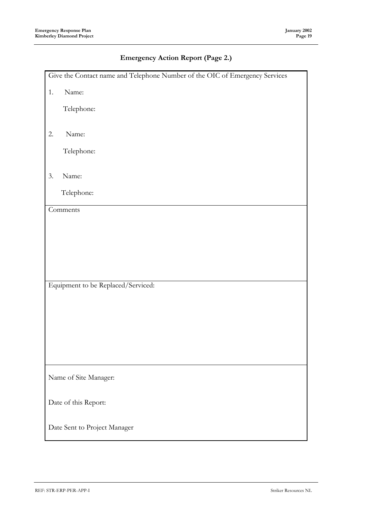## **Emergency Action Report (Page 2.)**

|    | Give the Contact name and Telephone Number of the OIC of Emergency Services |
|----|-----------------------------------------------------------------------------|
| 1. | Name:                                                                       |
|    | Telephone:                                                                  |
|    |                                                                             |
| 2. | Name:                                                                       |
|    | Telephone:                                                                  |
|    |                                                                             |
| 3. | Name:                                                                       |
|    | Telephone:                                                                  |
|    | Comments                                                                    |
|    |                                                                             |
|    |                                                                             |
|    |                                                                             |
|    |                                                                             |
|    | Equipment to be Replaced/Serviced:                                          |
|    |                                                                             |
|    |                                                                             |
|    |                                                                             |
|    |                                                                             |
|    |                                                                             |
|    | Name of Site Manager:                                                       |
|    | Date of this Report:                                                        |
|    | Date Sent to Project Manager                                                |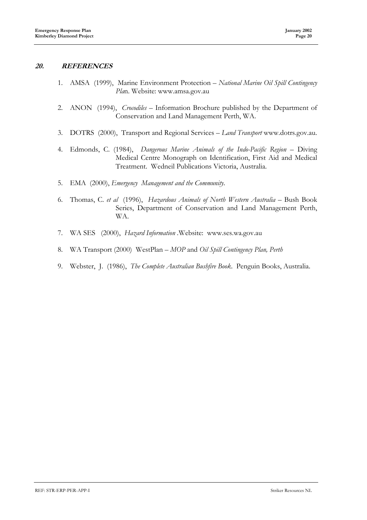## **20. REFERENCES**

- 1. AMSA (1999), Marine Environment Protection *National Marine Oil Spill Contingency Pla*n. Website: www.amsa.gov.au
- 2. ANON (1994), *Crocodiles* Information Brochure published by the Department of Conservation and Land Management Perth, WA.
- 3. DOTRS (2000), Transport and Regional Services *Land Transport* www.dotrs.gov.au.
- 4. Edmonds, C. (1984), *Dangerous Marine Animals of the Indo-Pacific Region –* Diving Medical Centre Monograph on Identification, First Aid and Medical Treatment. Wedneil Publications Victoria, Australia.
- 5. EMA (2000), *Emergency Management and the Community*.
- 6. Thomas, C. *et al* (1996), *Hazardous Animals of North Western Australia* Bush Book Series, Department of Conservation and Land Management Perth, WA.
- 7. WA SES (2000), *Hazard Information .*Website: www.ses.wa.gov.au
- 8. WA Transport (2000) WestPlan *MOP* and *Oil Spill Contingency Plan, Perth*
- 9. Webster, J. (1986), *The Complete Australian Bushfire Book*. Penguin Books, Australia.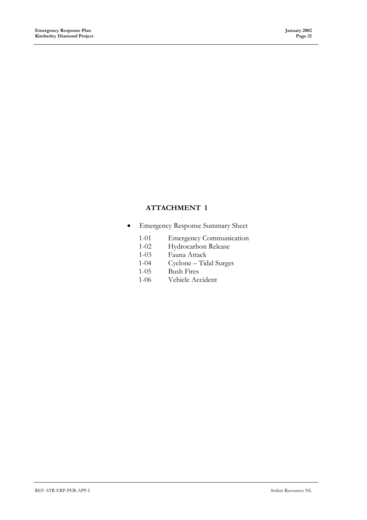## **ATTACHMENT 1**

- Emergency Response Summary Sheet
	- 1-01 Emergency Communication
	- 1-02 Hydrocarbon Release
	- 1-03 Fauna Attack
	- 1-04 Cyclone Tidal Surges
	- 1-05 Bush Fires
	- 1-06 Vehicle Accident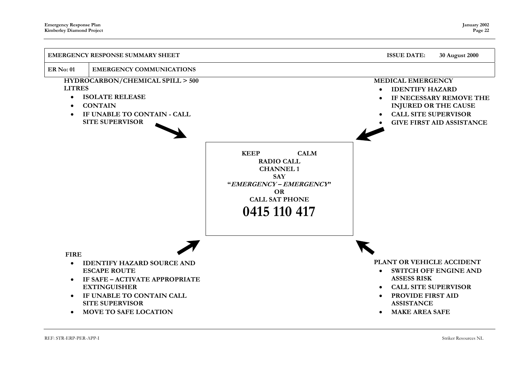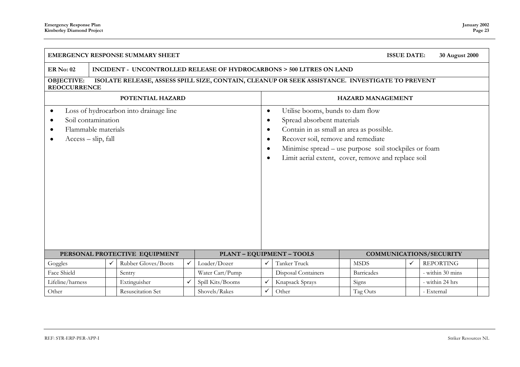| <b>EMERGENCY RESPONSE SUMMARY SHEET</b><br><b>ISSUE DATE:</b><br>30 August 2000                                                                          |                                                                                                                        |  |              |   |                  |   |                                                                                                                                                                                                                                                                  |  |             |   |                  |  |
|----------------------------------------------------------------------------------------------------------------------------------------------------------|------------------------------------------------------------------------------------------------------------------------|--|--------------|---|------------------|---|------------------------------------------------------------------------------------------------------------------------------------------------------------------------------------------------------------------------------------------------------------------|--|-------------|---|------------------|--|
| ER No: 02                                                                                                                                                | INCIDENT - UNCONTROLLED RELEASE OF HYDROCARBONS > 500 LITRES ON LAND                                                   |  |              |   |                  |   |                                                                                                                                                                                                                                                                  |  |             |   |                  |  |
| <b>OBJECTIVE:</b>                                                                                                                                        | ISOLATE RELEASE, ASSESS SPILL SIZE, CONTAIN, CLEANUP OR SEEK ASSISTANCE. INVESTIGATE TO PREVENT<br><b>REOCCURRENCE</b> |  |              |   |                  |   |                                                                                                                                                                                                                                                                  |  |             |   |                  |  |
| POTENTIAL HAZARD<br><b>HAZARD MANAGEMENT</b>                                                                                                             |                                                                                                                        |  |              |   |                  |   |                                                                                                                                                                                                                                                                  |  |             |   |                  |  |
| Loss of hydrocarbon into drainage line<br>$\bullet$<br>Soil contamination<br>$\bullet$<br>Flammable materials<br>$\bullet$<br>$Access - slip, fall$<br>٠ |                                                                                                                        |  |              |   |                  |   | Utilise booms, bunds to dam flow<br>Spread absorbent materials<br>Contain in as small an area as possible.<br>Recover soil, remove and remediate<br>Minimise spread – use purpose soil stockpiles or foam<br>Limit aerial extent, cover, remove and replace soil |  |             |   |                  |  |
|                                                                                                                                                          | PERSONAL PROTECTIVE EQUIPMENT<br><b>PLANT - EQUIPMENT - TOOLS</b><br><b>COMMUNICATIONS/SECURITY</b>                    |  |              |   |                  |   |                                                                                                                                                                                                                                                                  |  |             |   |                  |  |
| Loader/Dozer<br>Rubber Gloves/Boots<br>$\checkmark$<br>Goggles<br>✓                                                                                      |                                                                                                                        |  |              |   |                  |   | Tanker Truck                                                                                                                                                                                                                                                     |  | <b>MSDS</b> | ✓ | <b>REPORTING</b> |  |
| Face Shield                                                                                                                                              | Water Cart/Pump<br>Disposal Containers<br><b>Barricades</b><br>- within 30 mins<br>Sentry                              |  |              |   |                  |   |                                                                                                                                                                                                                                                                  |  |             |   |                  |  |
| Lifeline/harness                                                                                                                                         |                                                                                                                        |  | Extinguisher | ✓ | Spill Kits/Booms | ✓ | Knapsack Sprays                                                                                                                                                                                                                                                  |  | Signs       |   | - within 24 hrs  |  |
| Other                                                                                                                                                    | <b>Resuscitation Set</b><br>Shovels/Rakes<br>✓<br>Other<br>Tag Outs<br>- External                                      |  |              |   |                  |   |                                                                                                                                                                                                                                                                  |  |             |   |                  |  |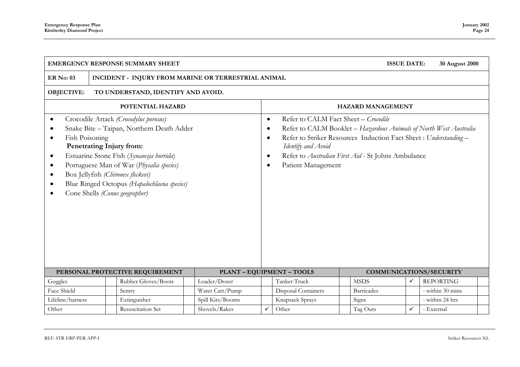|                                                                                                                        |                                                                                 | <b>EMERGENCY RESPONSE SUMMARY SHEET</b>                                                                                                                                                                                                                                                                                      |                  |                                                               |                                                                                                                                                                                                             | <b>ISSUE DATE:</b>       | 30 August 2000 |                                                                   |  |  |
|------------------------------------------------------------------------------------------------------------------------|---------------------------------------------------------------------------------|------------------------------------------------------------------------------------------------------------------------------------------------------------------------------------------------------------------------------------------------------------------------------------------------------------------------------|------------------|---------------------------------------------------------------|-------------------------------------------------------------------------------------------------------------------------------------------------------------------------------------------------------------|--------------------------|----------------|-------------------------------------------------------------------|--|--|
| <b>ER No: 03</b>                                                                                                       | INCIDENT - INJURY FROM MARINE OR TERRESTRIAL ANIMAL                             |                                                                                                                                                                                                                                                                                                                              |                  |                                                               |                                                                                                                                                                                                             |                          |                |                                                                   |  |  |
| <b>OBJECTIVE:</b><br>TO UNDERSTAND, IDENTIFY AND AVOID.                                                                |                                                                                 |                                                                                                                                                                                                                                                                                                                              |                  |                                                               |                                                                                                                                                                                                             |                          |                |                                                                   |  |  |
|                                                                                                                        |                                                                                 | POTENTIAL HAZARD                                                                                                                                                                                                                                                                                                             |                  |                                                               |                                                                                                                                                                                                             | <b>HAZARD MANAGEMENT</b> |                |                                                                   |  |  |
| $\bullet$<br>$\bullet$<br>Fish Poisoning<br>$\bullet$<br>$\bullet$<br>$\bullet$<br>$\bullet$<br>$\bullet$<br>$\bullet$ |                                                                                 | Crocodile Attack (Crocodylus porosus)<br>Snake Bite - Taipan, Northern Death Adder<br>Penetrating Injury from:<br>Estuarine Stone Fish (Synanceja horrida)<br>Portuguese Man of War (Physalia species)<br>Box Jellyfish (Chironex fleckevi)<br>Blue Ringed Octopus (Hapalochlaena species)<br>Cone Shells (Conus geographer) |                  | $\bullet$<br>$\bullet$<br>$\bullet$<br>$\bullet$<br>$\bullet$ | Refer to CALM Fact Sheet - Crocodile<br>Refer to Striker Resources Induction Fact Sheet : Understanding -<br>Identify and Avoid<br>Refer to Australian First Aid - St Johns Ambulance<br>Patient Management |                          |                | Refer to CALM Booklet - Hazardous Animals of North West Australia |  |  |
|                                                                                                                        |                                                                                 | PERSONAL PROTECTIVE REQUIREMENT                                                                                                                                                                                                                                                                                              |                  |                                                               | <b>PLANT - EQUIPMENT - TOOLS</b>                                                                                                                                                                            |                          |                | COMMUNICATIONS/SECURITY                                           |  |  |
| Goggles                                                                                                                |                                                                                 | Rubber Gloves/Boots                                                                                                                                                                                                                                                                                                          | Loader/Dozer     | Tanker Truck                                                  |                                                                                                                                                                                                             | <b>MSDS</b>              | ✓              | <b>REPORTING</b>                                                  |  |  |
| Face Shield<br>Water Cart/Pump<br><b>Disposal Containers</b><br>Sentry<br><b>Barricades</b>                            |                                                                                 |                                                                                                                                                                                                                                                                                                                              |                  |                                                               |                                                                                                                                                                                                             |                          |                | - within 30 mins                                                  |  |  |
| Lifeline/harness                                                                                                       |                                                                                 | Extinguisher                                                                                                                                                                                                                                                                                                                 | Spill Kits/Booms |                                                               | Knapsack Sprays                                                                                                                                                                                             | Signs                    |                | - within 24 hrs                                                   |  |  |
| Other                                                                                                                  | ✓<br>Shovels/Rakes<br>Other<br>Resuscitation Set<br>Tag Outs<br>✓<br>- External |                                                                                                                                                                                                                                                                                                                              |                  |                                                               |                                                                                                                                                                                                             |                          |                |                                                                   |  |  |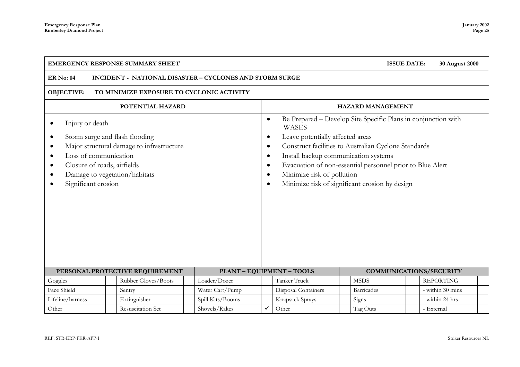|                                                                                               | <b>EMERGENCY RESPONSE SUMMARY SHEET</b><br><b>ISSUE DATE:</b><br>30 August 2000 |                                                                                                              |                  |                                                                                         |                                                                                                                        |                                |                                                                                                                                                                                                                                      |  |                  |  |  |
|-----------------------------------------------------------------------------------------------|---------------------------------------------------------------------------------|--------------------------------------------------------------------------------------------------------------|------------------|-----------------------------------------------------------------------------------------|------------------------------------------------------------------------------------------------------------------------|--------------------------------|--------------------------------------------------------------------------------------------------------------------------------------------------------------------------------------------------------------------------------------|--|------------------|--|--|
| <b>ER No: 04</b>                                                                              | INCIDENT - NATIONAL DISASTER - CYCLONES AND STORM SURGE                         |                                                                                                              |                  |                                                                                         |                                                                                                                        |                                |                                                                                                                                                                                                                                      |  |                  |  |  |
| <b>OBJECTIVE:</b>                                                                             | TO MINIMIZE EXPOSURE TO CYCLONIC ACTIVITY                                       |                                                                                                              |                  |                                                                                         |                                                                                                                        |                                |                                                                                                                                                                                                                                      |  |                  |  |  |
|                                                                                               |                                                                                 | POTENTIAL HAZARD                                                                                             |                  | <b>HAZARD MANAGEMENT</b>                                                                |                                                                                                                        |                                |                                                                                                                                                                                                                                      |  |                  |  |  |
| Injury or death<br>$\bullet$<br>$\bullet$<br>$\bullet$<br>$\bullet$<br>$\bullet$<br>$\bullet$ | Loss of communication<br>Closure of roads, airfields<br>Significant erosion     | Storm surge and flash flooding<br>Major structural damage to infrastructure<br>Damage to vegetation/habitats |                  | $\bullet$<br>$\bullet$<br>$\bullet$<br>$\bullet$<br>$\bullet$<br>$\bullet$<br>$\bullet$ | <b>WASES</b><br>Leave potentially affected areas<br>Install backup communication systems<br>Minimize risk of pollution |                                | Be Prepared - Develop Site Specific Plans in conjunction with<br>Construct facilities to Australian Cyclone Standards<br>Evacuation of non-essential personnel prior to Blue Alert<br>Minimize risk of significant erosion by design |  |                  |  |  |
|                                                                                               |                                                                                 | PERSONAL PROTECTIVE REQUIREMENT                                                                              |                  | <b>PLANT - EQUIPMENT - TOOLS</b>                                                        |                                                                                                                        | <b>COMMUNICATIONS/SECURITY</b> |                                                                                                                                                                                                                                      |  |                  |  |  |
| Goggles                                                                                       |                                                                                 | Rubber Gloves/Boots                                                                                          | Loader/Dozer     |                                                                                         | Tanker Truck                                                                                                           |                                | <b>MSDS</b>                                                                                                                                                                                                                          |  | <b>REPORTING</b> |  |  |
| Face Shield                                                                                   |                                                                                 | Sentry                                                                                                       | Water Cart/Pump  |                                                                                         | Disposal Containers                                                                                                    |                                | <b>Barricades</b>                                                                                                                                                                                                                    |  | - within 30 mins |  |  |
| Lifeline/harness                                                                              |                                                                                 | Extinguisher                                                                                                 | Spill Kits/Booms |                                                                                         | Knapsack Sprays                                                                                                        |                                | Signs                                                                                                                                                                                                                                |  | - within 24 hrs  |  |  |
| Other                                                                                         | Resuscitation Set<br>Shovels/Rakes<br>Other<br>Tag Outs<br>- External           |                                                                                                              |                  |                                                                                         |                                                                                                                        |                                |                                                                                                                                                                                                                                      |  |                  |  |  |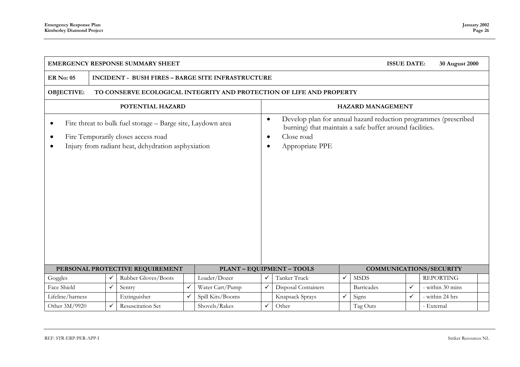| <b>EMERGENCY RESPONSE SUMMARY SHEET</b><br><b>ISSUE DATE:</b><br>30 August 2000           |                                                                                                                                                          |                     |                                     |                                                                                                                                                             |              |                     |              |                   |                  |                  |  |
|-------------------------------------------------------------------------------------------|----------------------------------------------------------------------------------------------------------------------------------------------------------|---------------------|-------------------------------------|-------------------------------------------------------------------------------------------------------------------------------------------------------------|--------------|---------------------|--------------|-------------------|------------------|------------------|--|
| <b>ER No: 05</b>                                                                          | <b>INCIDENT - BUSH FIRES - BARGE SITE INFRASTRUCTURE</b>                                                                                                 |                     |                                     |                                                                                                                                                             |              |                     |              |                   |                  |                  |  |
| <b>OBJECTIVE:</b><br>TO CONSERVE ECOLOGICAL INTEGRITY AND PROTECTION OF LIFE AND PROPERTY |                                                                                                                                                          |                     |                                     |                                                                                                                                                             |              |                     |              |                   |                  |                  |  |
| POTENTIAL HAZARD<br><b>HAZARD MANAGEMENT</b>                                              |                                                                                                                                                          |                     |                                     |                                                                                                                                                             |              |                     |              |                   |                  |                  |  |
| $\bullet$<br>$\bullet$                                                                    | Fire threat to bulk fuel storage - Barge site, Laydown area<br>Fire Temporarily closes access road<br>Injury from radiant heat, dehydration asphyxiation |                     | $\bullet$<br>$\bullet$<br>$\bullet$ | Develop plan for annual hazard reduction programmes (prescribed<br>burning) that maintain a safe buffer around facilities.<br>Close road<br>Appropriate PPE |              |                     |              |                   |                  |                  |  |
|                                                                                           | <b>PLANT - EQUIPMENT - TOOLS</b><br>PERSONAL PROTECTIVE REQUIREMENT<br><b>COMMUNICATIONS/SECURITY</b>                                                    |                     |                                     |                                                                                                                                                             |              |                     |              |                   |                  |                  |  |
| Goggles                                                                                   |                                                                                                                                                          | Rubber Gloves/Boots | Loader/Dozer                        | ✓                                                                                                                                                           | Tanker Truck | $\checkmark$        | <b>MSDS</b>  |                   | <b>REPORTING</b> |                  |  |
| Face Shield                                                                               | ✓                                                                                                                                                        | Sentry              | ✓                                   | Water Cart/Pump                                                                                                                                             |              | Disposal Containers |              | <b>Barricades</b> | $\checkmark$     | - within 30 mins |  |
| Lifeline/harness                                                                          |                                                                                                                                                          | Extinguisher        | ✓                                   | Spill Kits/Booms                                                                                                                                            |              | Knapsack Sprays     | $\checkmark$ | Signs             | $\checkmark$     | - within 24 hrs  |  |
| Other 3M/9920                                                                             |                                                                                                                                                          | Resuscitation Set   |                                     | Shovels/Rakes                                                                                                                                               | ✓            | Other               |              | Tag Outs          |                  | - External       |  |